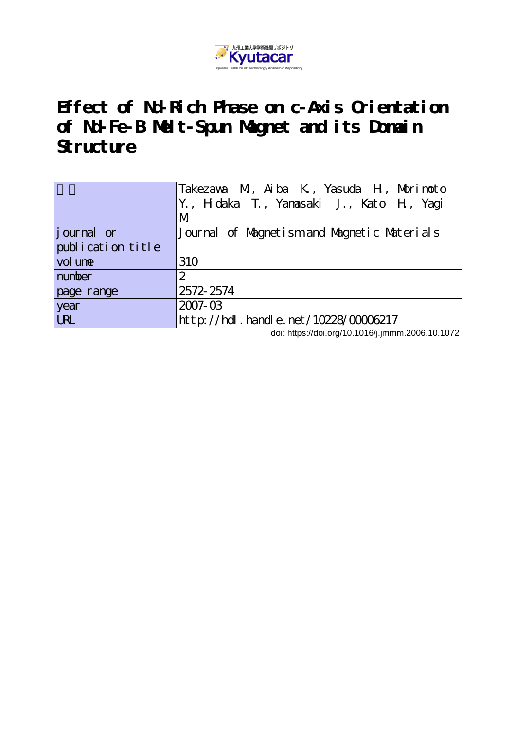

# **Effect of Nd-Rich Phase on c-Axis Orientation of Nd-Fe-B Melt-Spun Magnet and its Domain Structure**

|                   | Takezawa M, Aiba K, Yasuda H, Morimoto<br>Y., H daka T., Yanasaki J., Kato H, Yagi<br>М |
|-------------------|-----------------------------------------------------------------------------------------|
| journal or        | Journal of Magnetism and Magnetic Materials                                             |
| publication title |                                                                                         |
| vol une           | 310                                                                                     |
| number            | 2                                                                                       |
| page range        | 2572-2574                                                                               |
| year              | $2007 - 03$                                                                             |
| <b>URL</b>        | http://hdl.handle.net/10228/00006217                                                    |

doi: https://doi.org/10.1016/j.jmmm.2006.10.1072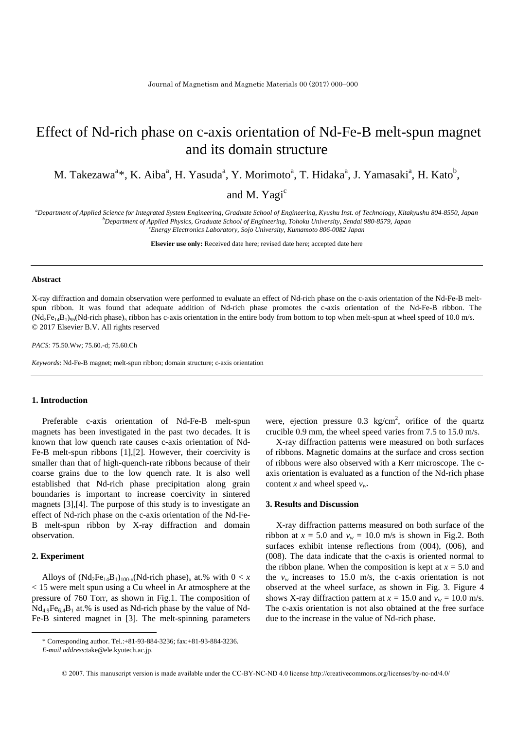## Effect of Nd-rich phase on c-axis orientation of Nd-Fe-B melt-spun magnet and its domain structure

M. Takezawa<sup>a</sup>\*, K. Aiba<sup>a</sup>, H. Yasuda<sup>a</sup>, Y. Morimoto<sup>a</sup>, T. Hidaka<sup>a</sup>, J. Yamasaki<sup>a</sup>, H. Kato<sup>b</sup>,

and M. Yagi<sup>c</sup>

*a Department of Applied Science for Integrated System Engineering, Graduate School of Engineering, Kyushu Inst. of Technology, Kitakyushu 804-8550, Japan b Department of Applied Physics, Graduate School of Engineering, Tohoku University, Sendai 980-8579, Japan c Energy Electronics Laboratory, Sojo University, Kumamoto 806-0082 Japan*

**Elsevier use only:** Received date here; revised date here; accepted date here

#### **Abstract**

X-ray diffraction and domain observation were performed to evaluate an effect of Nd-rich phase on the c-axis orientation of the Nd-Fe-B meltspun ribbon. It was found that adequate addition of Nd-rich phase promotes the c-axis orientation of the Nd-Fe-B ribbon. The  $(Nd_2Fe_{14}B_1)_{95}(Nd$ -rich phase)<sub>5</sub> ribbon has c-axis orientation in the entire body from bottom to top when melt-spun at wheel speed of 10.0 m/s. © 2017 Elsevier B.V. All rights reserved

*PACS:* 75.50.Ww; 75.60.-d; 75.60.Ch

*Keywords*: Nd-Fe-B magnet; melt-spun ribbon; domain structure; c-axis orientation

### **1. Introduction**

Preferable c-axis orientation of Nd-Fe-B melt-spun magnets has been investigated in the past two decades. It is known that low quench rate causes c-axis orientation of Nd-Fe-B melt-spun ribbons [1],[2]. However, their coercivity is smaller than that of high-quench-rate ribbons because of their coarse grains due to the low quench rate. It is also well established that Nd-rich phase precipitation along grain boundaries is important to increase coercivity in sintered magnets [3],[4]. The purpose of this study is to investigate an effect of Nd-rich phase on the c-axis orientation of the Nd-Fe-B melt-spun ribbon by X-ray diffraction and domain observation.

#### **2. Experiment**

Alloys of  $(Nd_2Fe_{14}B_1)_{100-x} (Nd\text{-rich phase})_x$  at.% with  $0 < x$ < 15 were melt spun using a Cu wheel in Ar atmosphere at the pressure of 760 Torr, as shown in Fig.1. The composition of  $Nd_{4.9}Fe_{6.4}B_1$  at.% is used as Nd-rich phase by the value of Nd-Fe-B sintered magnet in [3]. The melt-spinning parameters

were, ejection pressure  $0.3 \text{ kg/cm}^2$ , orifice of the quartz crucible 0.9 mm, the wheel speed varies from 7.5 to 15.0 m/s.

X-ray diffraction patterns were measured on both surfaces of ribbons. Magnetic domains at the surface and cross section of ribbons were also observed with a Kerr microscope. The caxis orientation is evaluated as a function of the Nd-rich phase content *x* and wheel speed  $v_w$ .

#### **3. Results and Discussion**

X-ray diffraction patterns measured on both surface of the ribbon at  $x = 5.0$  and  $v_w = 10.0$  m/s is shown in Fig.2. Both surfaces exhibit intense reflections from (004), (006), and (008). The data indicate that the c-axis is oriented normal to the ribbon plane. When the composition is kept at  $x = 5.0$  and the  $v_w$  increases to 15.0 m/s, the c-axis orientation is not observed at the wheel surface, as shown in Fig. 3. Figure 4 shows X-ray diffraction pattern at  $x = 15.0$  and  $v_w = 10.0$  m/s. The c-axis orientation is not also obtained at the free surface due to the increase in the value of Nd-rich phase.

<sup>\*</sup> Corresponding author. Tel.:+81-93-884-3236; fax:+81-93-884-3236.

<span id="page-1-0"></span>*E-mail address*:take@ele.kyutech.ac.jp.